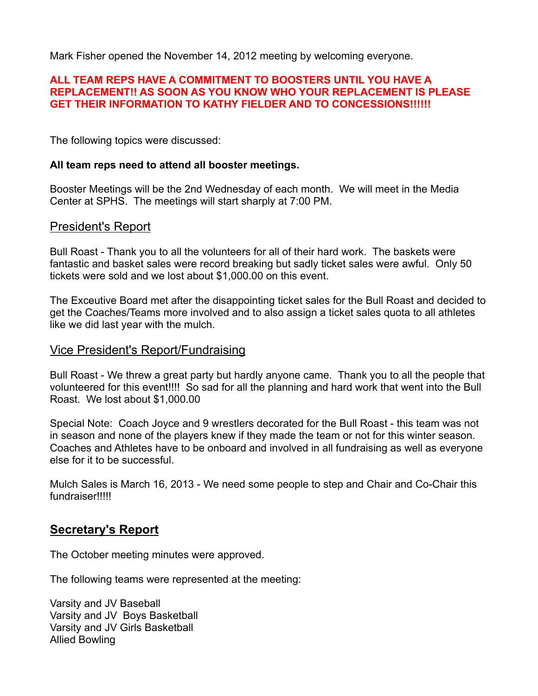Mark Fisher opened the November 14, 2012 meeting by welcoming everyone.

### **ALL TEAM REPS HAVE A COMMITMENT TO BOOSTERS UNTIL YOU HAVE A REPLACEMENT!! AS SOON AS YOU KNOW WHO YOUR REPLACEMENT IS PLEASE GET THEIR INFORMATION TO KATHY FIELDER AND TO CONCESSIONS!!!!!!**

The following topics were discussed:

### **All team reps need to attend all booster meetings.**

Booster Meetings will be the 2nd Wednesday of each month. We will meet in the Media Center at SPHS. The meetings will start sharply at 7:00 PM.

# President's Report

Bull Roast - Thank you to all the volunteers for all of their hard work. The baskets were fantastic and basket sales were record breaking but sadly ticket sales were awful. Only 50 tickets were sold and we lost about \$1,000.00 on this event.

The Exceutive Board met after the disappointing ticket sales for the Bull Roast and decided to get the Coaches/Teams more involved and to also assign a ticket sales quota to all athletes like we did last year with the mulch.

## Vice President's Report/Fundraising

Bull Roast - We threw a great party but hardly anyone came. Thank you to all the people that volunteered for this event!!!! So sad for all the planning and hard work that went into the Bull Roast. We lost about \$1,000.00

Special Note: Coach Joyce and 9 wrestlers decorated for the Bull Roast - this team was not in season and none of the players knew if they made the team or not for this winter season. Coaches and Athletes have to be onboard and involved in all fundraising as well as everyone else for it to be successful.

Mulch Sales is March 16, 2013 - We need some people to step and Chair and Co-Chair this fundraiser!!!!!

# **Secretary's Report**

The October meeting minutes were approved.

The following teams were represented at the meeting:

Varsity and JV Baseball Varsity and JV Boys Basketball Varsity and JV Girls Basketball Allied Bowling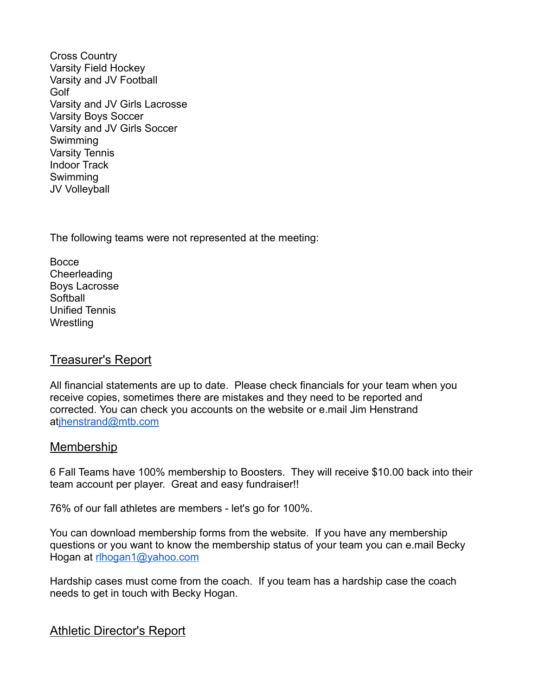Cross Country Varsity Field Hockey Varsity and JV Football Golf Varsity and JV Girls Lacrosse Varsity Boys Soccer Varsity and JV Girls Soccer Swimming Varsity Tennis Indoor Track Swimming JV Volleyball

The following teams were not represented at the meeting:

**Bocce** Cheerleading Boys Lacrosse Softball Unified Tennis **Wrestling** 

# Treasurer's Report

All financial statements are up to date. Please check financials for your team when you receive copies, sometimes there are mistakes and they need to be reported and corrected. You can check you accounts on the website or e.mail Jim Henstrand atjhenstrand@mtb.com

# Membership

6 Fall Teams have 100% membership to Boosters. They will receive \$10.00 back into their team account per player. Great and easy fundraiser!!

76% of our fall athletes are members - let's go for 100%.

You can download membership forms from the website. If you have any membership questions or you want to know the membership status of your team you can e.mail Becky Hogan at rlhogan1@yahoo.com

Hardship cases must come from the coach. If you team has a hardship case the coach needs to get in touch with Becky Hogan.

Athletic Director's Report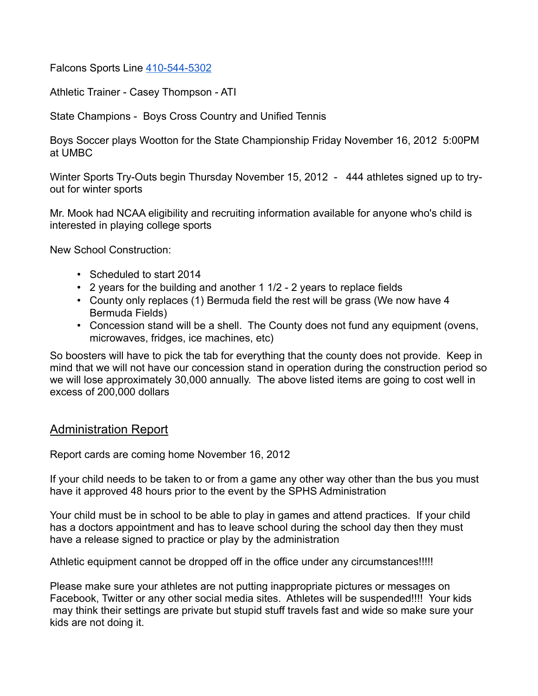Falcons Sports Line 410-544-5302

Athletic Trainer - Casey Thompson - ATI

State Champions - Boys Cross Country and Unified Tennis

Boys Soccer plays Wootton for the State Championship Friday November 16, 2012 5:00PM at UMBC

Winter Sports Try-Outs begin Thursday November 15, 2012 - 444 athletes signed up to tryout for winter sports

Mr. Mook had NCAA eligibility and recruiting information available for anyone who's child is interested in playing college sports

New School Construction:

- Scheduled to start 2014
- 2 years for the building and another 1 1/2 2 years to replace fields
- County only replaces (1) Bermuda field the rest will be grass (We now have 4 Bermuda Fields)
- Concession stand will be a shell. The County does not fund any equipment (ovens, microwaves, fridges, ice machines, etc)

So boosters will have to pick the tab for everything that the county does not provide. Keep in mind that we will not have our concession stand in operation during the construction period so we will lose approximately 30,000 annually. The above listed items are going to cost well in excess of 200,000 dollars

# Administration Report

Report cards are coming home November 16, 2012

If your child needs to be taken to or from a game any other way other than the bus you must have it approved 48 hours prior to the event by the SPHS Administration

Your child must be in school to be able to play in games and attend practices. If your child has a doctors appointment and has to leave school during the school day then they must have a release signed to practice or play by the administration

Athletic equipment cannot be dropped off in the office under any circumstances!!!!!

Please make sure your athletes are not putting inappropriate pictures or messages on Facebook, Twitter or any other social media sites. Athletes will be suspended!!!! Your kids may think their settings are private but stupid stuff travels fast and wide so make sure your kids are not doing it.